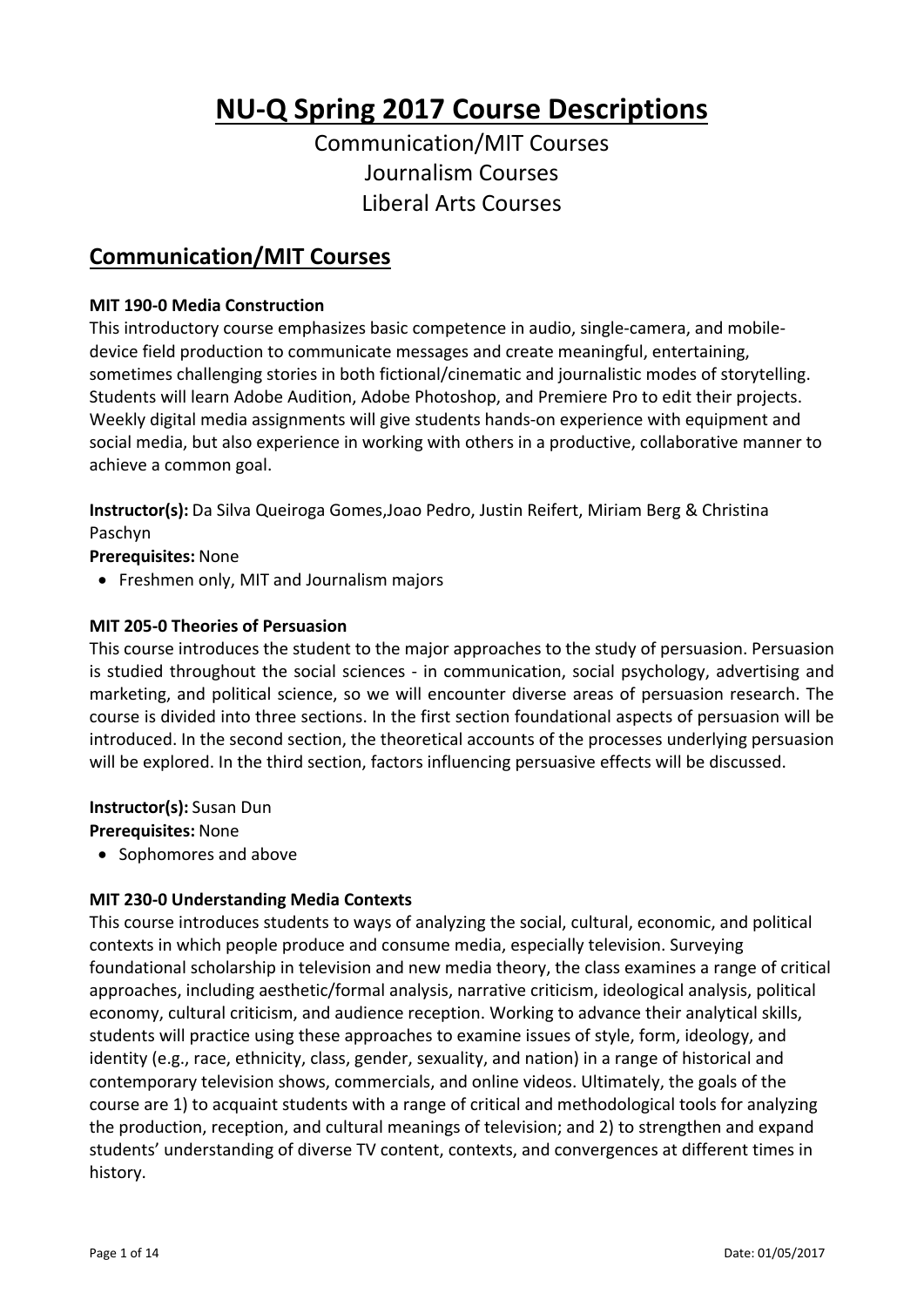# **NU‐Q Spring 2017 Course Descriptions**

Communication/MIT Courses Journalism Courses Liberal Arts Courses

# **Communication/MIT Courses**

#### **MIT 190‐0 Media Construction**

This introductory course emphasizes basic competence in audio, single‐camera, and mobile‐ device field production to communicate messages and create meaningful, entertaining, sometimes challenging stories in both fictional/cinematic and journalistic modes of storytelling. Students will learn Adobe Audition, Adobe Photoshop, and Premiere Pro to edit their projects. Weekly digital media assignments will give students hands‐on experience with equipment and social media, but also experience in working with others in a productive, collaborative manner to achieve a common goal.

**Instructor(s):** Da Silva Queiroga Gomes,Joao Pedro, Justin Reifert, Miriam Berg & Christina Paschyn

**Prerequisites:** None

• Freshmen only, MIT and Journalism majors

#### **MIT 205‐0 Theories of Persuasion**

This course introduces the student to the major approaches to the study of persuasion. Persuasion is studied throughout the social sciences - in communication, social psychology, advertising and marketing, and political science, so we will encounter diverse areas of persuasion research. The course is divided into three sections. In the first section foundational aspects of persuasion will be introduced. In the second section, the theoretical accounts of the processes underlying persuasion will be explored. In the third section, factors influencing persuasive effects will be discussed.

**Instructor(s):** Susan Dun

**Prerequisites:** None

• Sophomores and above

#### **MIT 230‐0 Understanding Media Contexts**

This course introduces students to ways of analyzing the social, cultural, economic, and political contexts in which people produce and consume media, especially television. Surveying foundational scholarship in television and new media theory, the class examines a range of critical approaches, including aesthetic/formal analysis, narrative criticism, ideological analysis, political economy, cultural criticism, and audience reception. Working to advance their analytical skills, students will practice using these approaches to examine issues of style, form, ideology, and identity (e.g., race, ethnicity, class, gender, sexuality, and nation) in a range of historical and contemporary television shows, commercials, and online videos. Ultimately, the goals of the course are 1) to acquaint students with a range of critical and methodological tools for analyzing the production, reception, and cultural meanings of television; and 2) to strengthen and expand students' understanding of diverse TV content, contexts, and convergences at different times in history.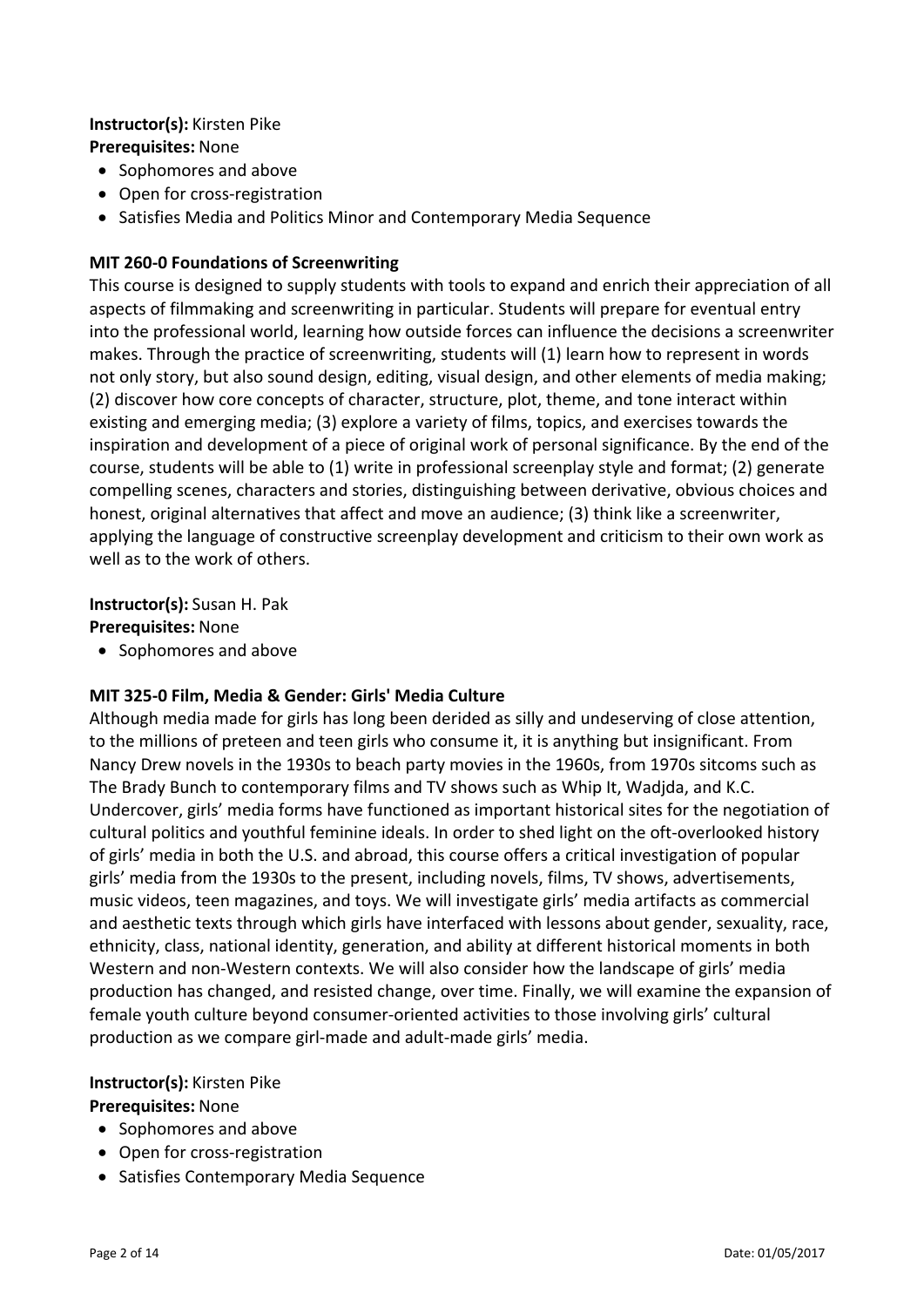#### **Instructor(s):** Kirsten Pike **Prerequisites:** None

- Sophomores and above
- Open for cross-registration
- Satisfies Media and Politics Minor and Contemporary Media Sequence

# **MIT 260‐0 Foundations of Screenwriting**

This course is designed to supply students with tools to expand and enrich their appreciation of all aspects of filmmaking and screenwriting in particular. Students will prepare for eventual entry into the professional world, learning how outside forces can influence the decisions a screenwriter makes. Through the practice of screenwriting, students will (1) learn how to represent in words not only story, but also sound design, editing, visual design, and other elements of media making; (2) discover how core concepts of character, structure, plot, theme, and tone interact within existing and emerging media; (3) explore a variety of films, topics, and exercises towards the inspiration and development of a piece of original work of personal significance. By the end of the course, students will be able to (1) write in professional screenplay style and format; (2) generate compelling scenes, characters and stories, distinguishing between derivative, obvious choices and honest, original alternatives that affect and move an audience; (3) think like a screenwriter, applying the language of constructive screenplay development and criticism to their own work as well as to the work of others.

**Instructor(s):** Susan H. Pak **Prerequisites:** None

• Sophomores and above

# **MIT 325‐0 Film, Media & Gender: Girls' Media Culture**

Although media made for girls has long been derided as silly and undeserving of close attention, to the millions of preteen and teen girls who consume it, it is anything but insignificant. From Nancy Drew novels in the 1930s to beach party movies in the 1960s, from 1970s sitcoms such as The Brady Bunch to contemporary films and TV shows such as Whip It, Wadjda, and K.C. Undercover, girls' media forms have functioned as important historical sites for the negotiation of cultural politics and youthful feminine ideals. In order to shed light on the oft‐overlooked history of girls' media in both the U.S. and abroad, this course offers a critical investigation of popular girls' media from the 1930s to the present, including novels, films, TV shows, advertisements, music videos, teen magazines, and toys. We will investigate girls' media artifacts as commercial and aesthetic texts through which girls have interfaced with lessons about gender, sexuality, race, ethnicity, class, national identity, generation, and ability at different historical moments in both Western and non‐Western contexts. We will also consider how the landscape of girls' media production has changed, and resisted change, over time. Finally, we will examine the expansion of female youth culture beyond consumer‐oriented activities to those involving girls' cultural production as we compare girl‐made and adult‐made girls' media.

# **Instructor(s):** Kirsten Pike

# **Prerequisites:** None

- Sophomores and above
- Open for cross-registration
- Satisfies Contemporary Media Sequence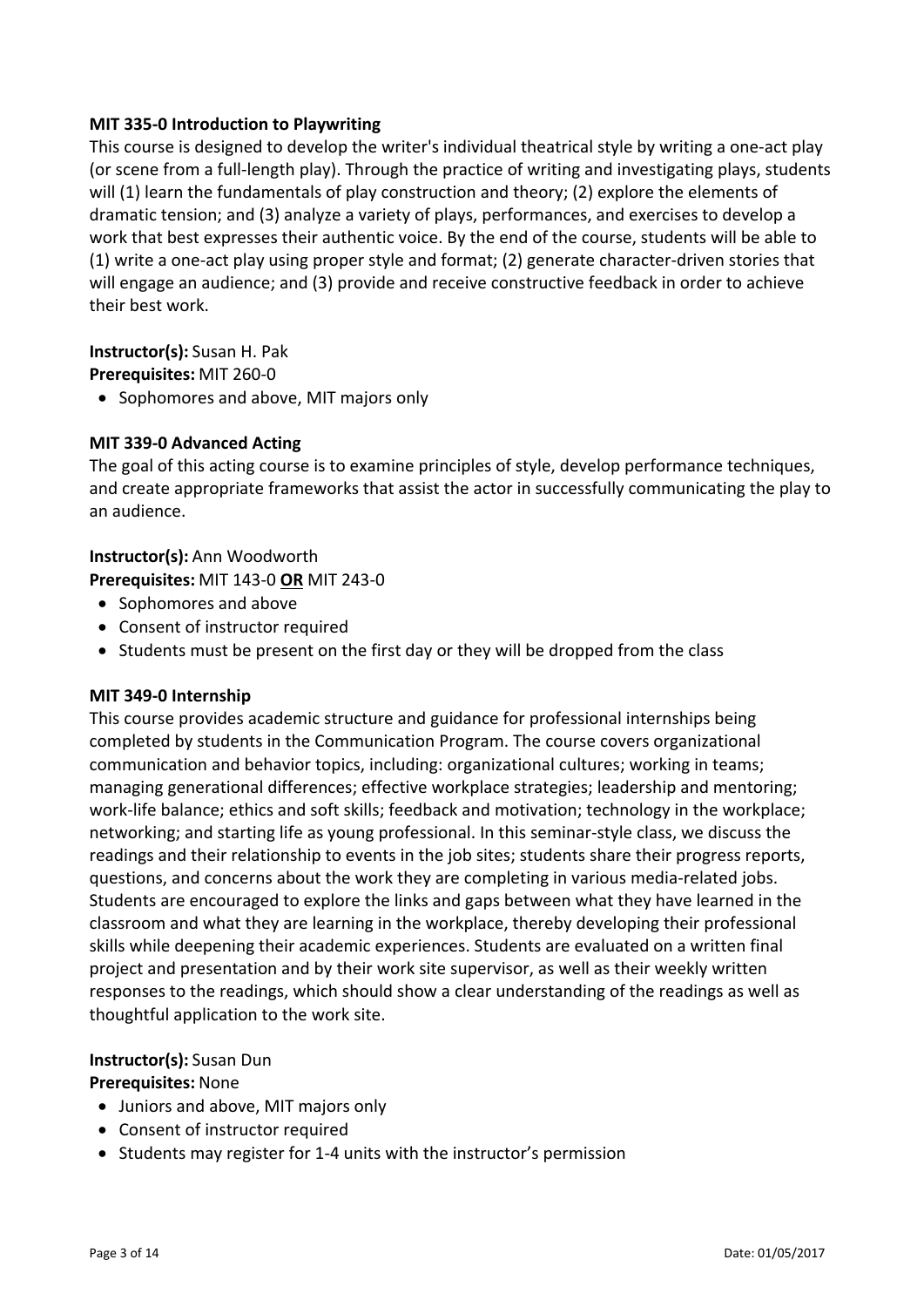#### **MIT 335‐0 Introduction to Playwriting**

This course is designed to develop the writer's individual theatrical style by writing a one‐act play (or scene from a full‐length play). Through the practice of writing and investigating plays, students will (1) learn the fundamentals of play construction and theory; (2) explore the elements of dramatic tension; and (3) analyze a variety of plays, performances, and exercises to develop a work that best expresses their authentic voice. By the end of the course, students will be able to (1) write a one‐act play using proper style and format; (2) generate character‐driven stories that will engage an audience; and (3) provide and receive constructive feedback in order to achieve their best work.

**Instructor(s):** Susan H. Pak **Prerequisites:** MIT 260‐0

• Sophomores and above, MIT majors only

### **MIT 339‐0 Advanced Acting**

The goal of this acting course is to examine principles of style, develop performance techniques, and create appropriate frameworks that assist the actor in successfully communicating the play to an audience.

### **Instructor(s):** Ann Woodworth

**Prerequisites:** MIT 143‐0 **OR** MIT 243‐0

- Sophomores and above
- Consent of instructor required
- Students must be present on the first day or they will be dropped from the class

#### **MIT 349‐0 Internship**

This course provides academic structure and guidance for professional internships being completed by students in the Communication Program. The course covers organizational communication and behavior topics, including: organizational cultures; working in teams; managing generational differences; effective workplace strategies; leadership and mentoring; work‐life balance; ethics and soft skills; feedback and motivation; technology in the workplace; networking; and starting life as young professional. In this seminar‐style class, we discuss the readings and their relationship to events in the job sites; students share their progress reports, questions, and concerns about the work they are completing in various media‐related jobs. Students are encouraged to explore the links and gaps between what they have learned in the classroom and what they are learning in the workplace, thereby developing their professional skills while deepening their academic experiences. Students are evaluated on a written final project and presentation and by their work site supervisor, as well as their weekly written responses to the readings, which should show a clear understanding of the readings as well as thoughtful application to the work site.

#### **Instructor(s):** Susan Dun

#### **Prerequisites:** None

- Juniors and above, MIT majors only
- Consent of instructor required
- Students may register for 1-4 units with the instructor's permission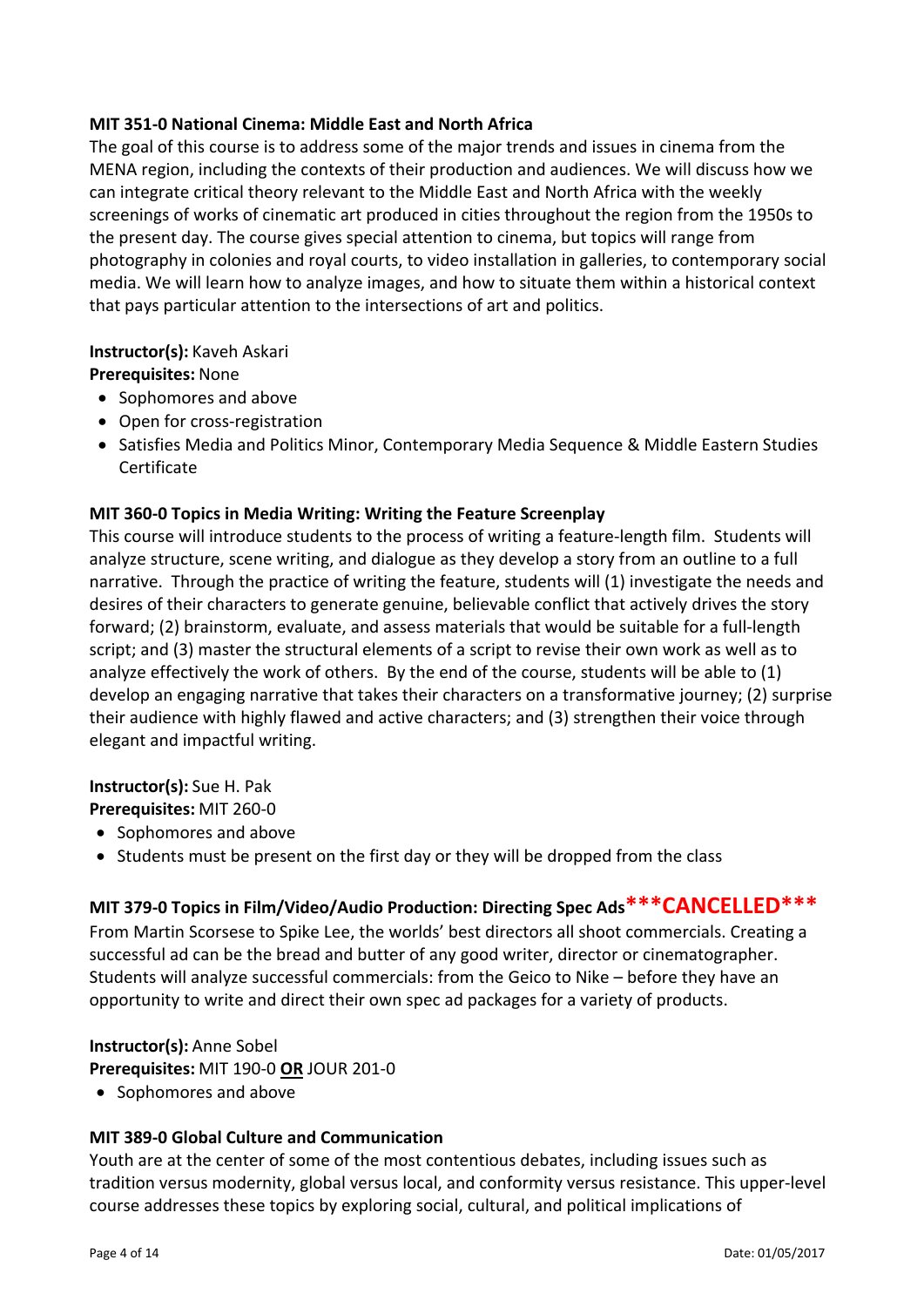#### **MIT 351‐0 National Cinema: Middle East and North Africa**

The goal of this course is to address some of the major trends and issues in cinema from the MENA region, including the contexts of their production and audiences. We will discuss how we can integrate critical theory relevant to the Middle East and North Africa with the weekly screenings of works of cinematic art produced in cities throughout the region from the 1950s to the present day. The course gives special attention to cinema, but topics will range from photography in colonies and royal courts, to video installation in galleries, to contemporary social media. We will learn how to analyze images, and how to situate them within a historical context that pays particular attention to the intersections of art and politics.

### **Instructor(s):** Kaveh Askari

**Prerequisites:** None

- Sophomores and above
- Open for cross-registration
- Satisfies Media and Politics Minor, Contemporary Media Sequence & Middle Eastern Studies Certificate

### **MIT 360‐0 Topics in Media Writing: Writing the Feature Screenplay**

This course will introduce students to the process of writing a feature‐length film. Students will analyze structure, scene writing, and dialogue as they develop a story from an outline to a full narrative. Through the practice of writing the feature, students will (1) investigate the needs and desires of their characters to generate genuine, believable conflict that actively drives the story forward; (2) brainstorm, evaluate, and assess materials that would be suitable for a full‐length script; and (3) master the structural elements of a script to revise their own work as well as to analyze effectively the work of others. By the end of the course, students will be able to (1) develop an engaging narrative that takes their characters on a transformative journey; (2) surprise their audience with highly flawed and active characters; and (3) strengthen their voice through elegant and impactful writing.

# **Instructor(s):** Sue H. Pak

**Prerequisites:** MIT 260‐0

- Sophomores and above
- Students must be present on the first day or they will be dropped from the class

# **MIT 379‐0 Topics in Film/Video/Audio Production: Directing Spec Ads\*\*\*CANCELLED\*\*\***

From Martin Scorsese to Spike Lee, the worlds' best directors all shoot commercials. Creating a successful ad can be the bread and butter of any good writer, director or cinematographer. Students will analyze successful commercials: from the Geico to Nike – before they have an opportunity to write and direct their own spec ad packages for a variety of products.

**Instructor(s):** Anne Sobel

**Prerequisites:** MIT 190‐0 **OR** JOUR 201‐0

• Sophomores and above

# **MIT 389‐0 Global Culture and Communication**

Youth are at the center of some of the most contentious debates, including issues such as tradition versus modernity, global versus local, and conformity versus resistance. This upper‐level course addresses these topics by exploring social, cultural, and political implications of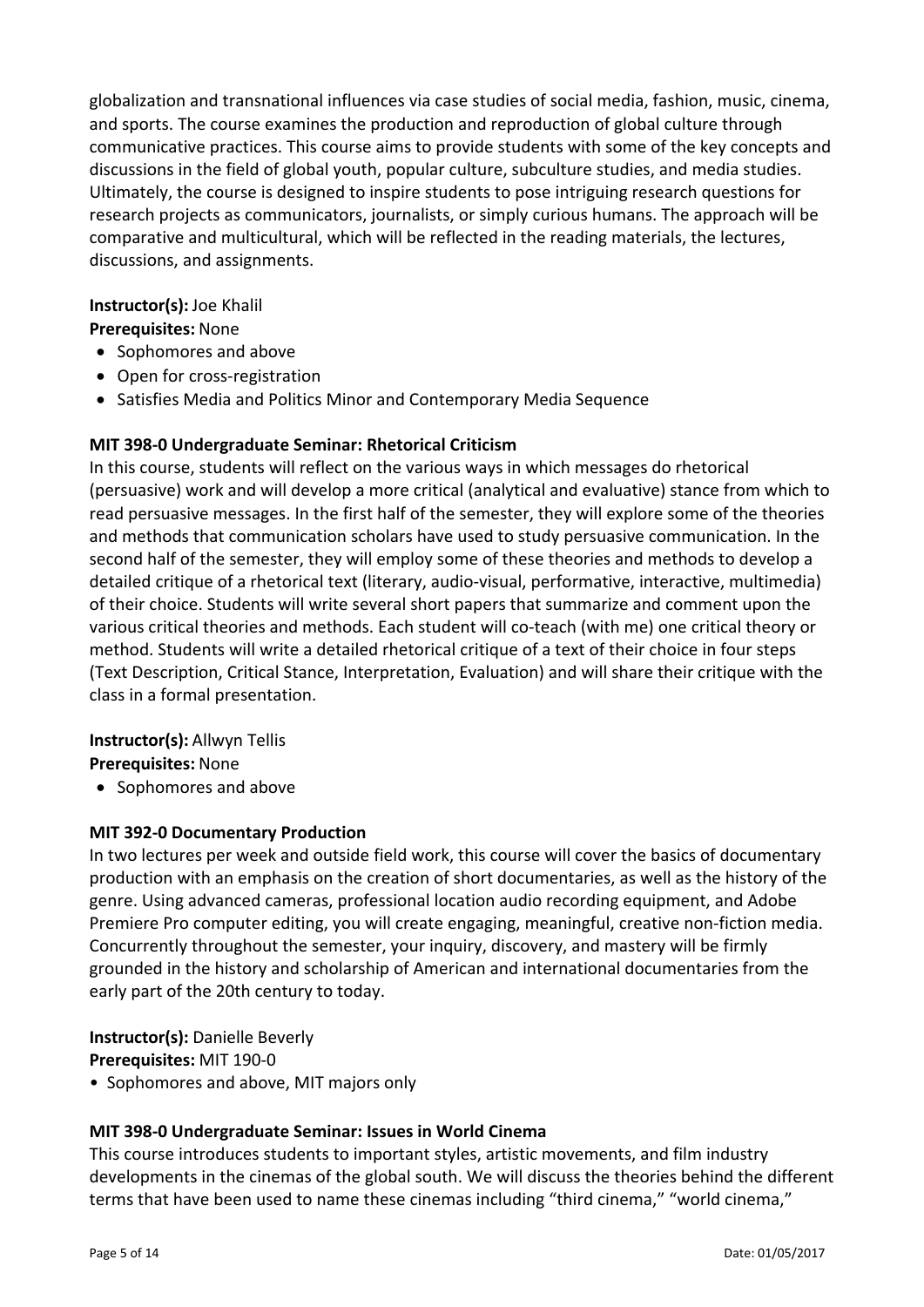globalization and transnational influences via case studies of social media, fashion, music, cinema, and sports. The course examines the production and reproduction of global culture through communicative practices. This course aims to provide students with some of the key concepts and discussions in the field of global youth, popular culture, subculture studies, and media studies. Ultimately, the course is designed to inspire students to pose intriguing research questions for research projects as communicators, journalists, or simply curious humans. The approach will be comparative and multicultural, which will be reflected in the reading materials, the lectures, discussions, and assignments.

# **Instructor(s):** Joe Khalil

### **Prerequisites:** None

- Sophomores and above
- Open for cross-registration
- Satisfies Media and Politics Minor and Contemporary Media Sequence

# **MIT 398‐0 Undergraduate Seminar: Rhetorical Criticism**

In this course, students will reflect on the various ways in which messages do rhetorical (persuasive) work and will develop a more critical (analytical and evaluative) stance from which to read persuasive messages. In the first half of the semester, they will explore some of the theories and methods that communication scholars have used to study persuasive communication. In the second half of the semester, they will employ some of these theories and methods to develop a detailed critique of a rhetorical text (literary, audio‐visual, performative, interactive, multimedia) of their choice. Students will write several short papers that summarize and comment upon the various critical theories and methods. Each student will co‐teach (with me) one critical theory or method. Students will write a detailed rhetorical critique of a text of their choice in four steps (Text Description, Critical Stance, Interpretation, Evaluation) and will share their critique with the class in a formal presentation.

#### **Instructor(s):** Allwyn Tellis **Prerequisites:** None

• Sophomores and above

# **MIT 392‐0 Documentary Production**

In two lectures per week and outside field work, this course will cover the basics of documentary production with an emphasis on the creation of short documentaries, as well as the history of the genre. Using advanced cameras, professional location audio recording equipment, and Adobe Premiere Pro computer editing, you will create engaging, meaningful, creative non‐fiction media. Concurrently throughout the semester, your inquiry, discovery, and mastery will be firmly grounded in the history and scholarship of American and international documentaries from the early part of the 20th century to today.

#### **Instructor(s):** Danielle Beverly **Prerequisites:** MIT 190‐0

• Sophomores and above, MIT majors only

# **MIT 398‐0 Undergraduate Seminar: Issues in World Cinema**

This course introduces students to important styles, artistic movements, and film industry developments in the cinemas of the global south. We will discuss the theories behind the different terms that have been used to name these cinemas including "third cinema," "world cinema,"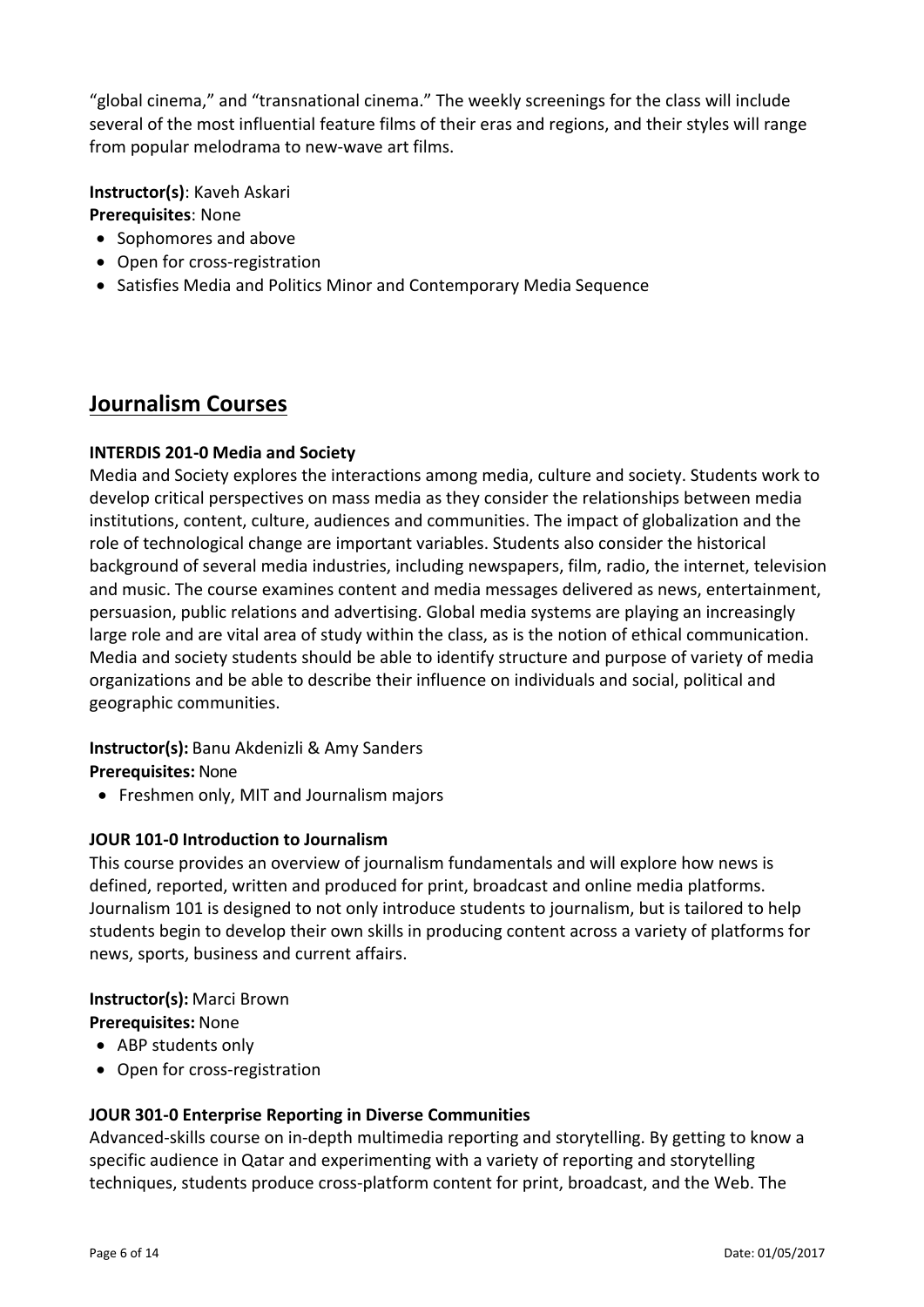"global cinema," and "transnational cinema." The weekly screenings for the class will include several of the most influential feature films of their eras and regions, and their styles will range from popular melodrama to new-wave art films.

**Instructor(s)**: Kaveh Askari **Prerequisites**: None

- Sophomores and above
- Open for cross-registration
- Satisfies Media and Politics Minor and Contemporary Media Sequence

# **Journalism Courses**

### **INTERDIS 201‐0 Media and Society**

Media and Society explores the interactions among media, culture and society. Students work to develop critical perspectives on mass media as they consider the relationships between media institutions, content, culture, audiences and communities. The impact of globalization and the role of technological change are important variables. Students also consider the historical background of several media industries, including newspapers, film, radio, the internet, television and music. The course examines content and media messages delivered as news, entertainment, persuasion, public relations and advertising. Global media systems are playing an increasingly large role and are vital area of study within the class, as is the notion of ethical communication. Media and society students should be able to identify structure and purpose of variety of media organizations and be able to describe their influence on individuals and social, political and geographic communities.

# **Instructor(s):** Banu Akdenizli & Amy Sanders

**Prerequisites:** None

• Freshmen only, MIT and Journalism majors

# **JOUR 101‐0 Introduction to Journalism**

This course provides an overview of journalism fundamentals and will explore how news is defined, reported, written and produced for print, broadcast and online media platforms. Journalism 101 is designed to not only introduce students to journalism, but is tailored to help students begin to develop their own skills in producing content across a variety of platforms for news, sports, business and current affairs.

#### **Instructor(s):** Marci Brown

#### **Prerequisites:** None

- ABP students only
- Open for cross-registration

# **JOUR 301‐0 Enterprise Reporting in Diverse Communities**

Advanced‐skills course on in‐depth multimedia reporting and storytelling. By getting to know a specific audience in Qatar and experimenting with a variety of reporting and storytelling techniques, students produce cross‐platform content for print, broadcast, and the Web. The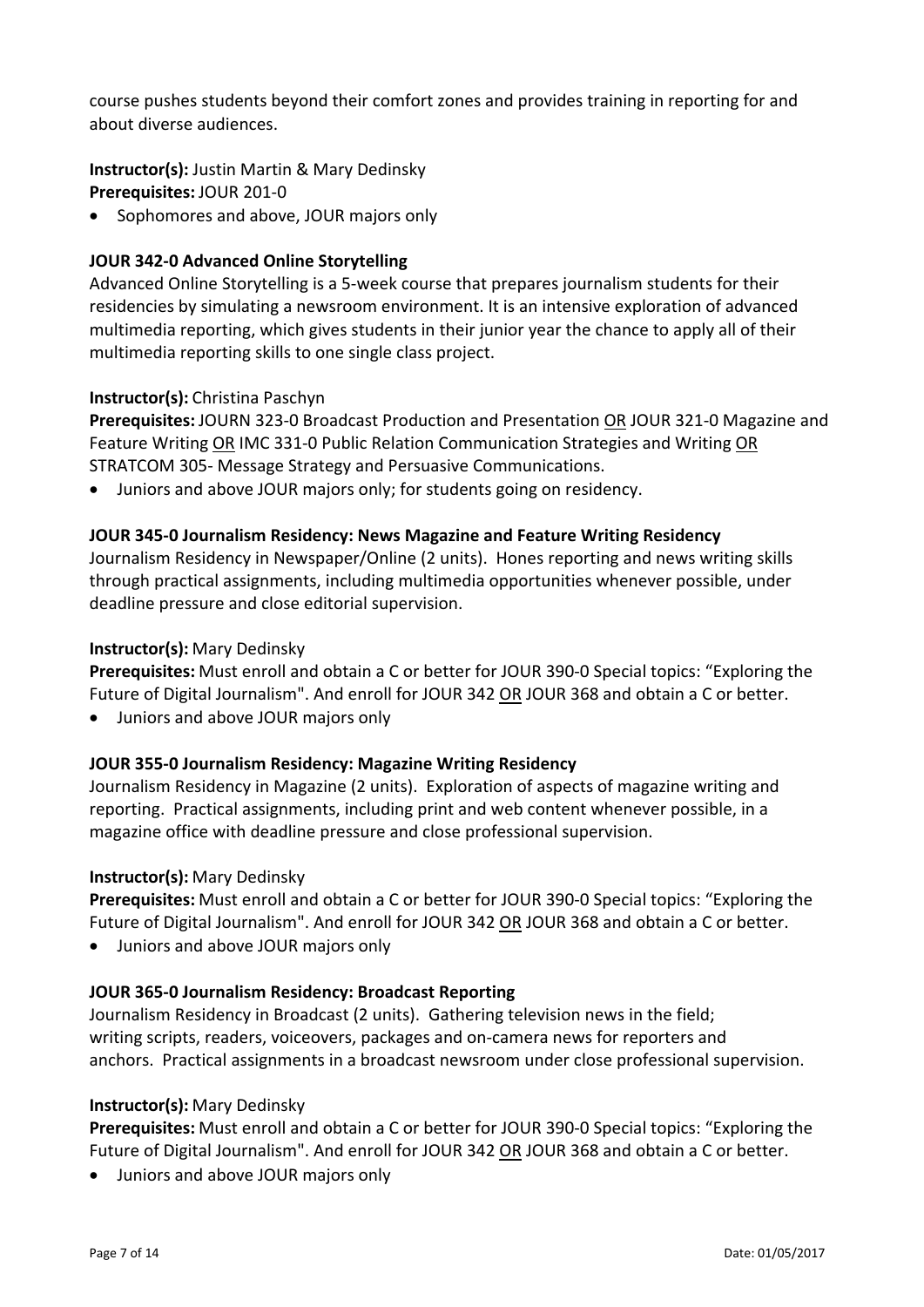course pushes students beyond their comfort zones and provides training in reporting for and about diverse audiences.

**Instructor(s):** Justin Martin & Mary Dedinsky **Prerequisites:** JOUR 201‐0

• Sophomores and above, JOUR majors only

### **JOUR 342‐0 Advanced Online Storytelling**

Advanced Online Storytelling is a 5‐week course that prepares journalism students for their residencies by simulating a newsroom environment. It is an intensive exploration of advanced multimedia reporting, which gives students in their junior year the chance to apply all of their multimedia reporting skills to one single class project.

### **Instructor(s):** Christina Paschyn

**Prerequisites:** JOURN 323‐0 Broadcast Production and Presentation OR JOUR 321‐0 Magazine and Feature Writing OR IMC 331‐0 Public Relation Communication Strategies and Writing OR STRATCOM 305‐ Message Strategy and Persuasive Communications.

Juniors and above JOUR majors only; for students going on residency.

### **JOUR 345‐0 Journalism Residency: News Magazine and Feature Writing Residency**

Journalism Residency in Newspaper/Online (2 units). Hones reporting and news writing skills through practical assignments, including multimedia opportunities whenever possible, under deadline pressure and close editorial supervision.

#### **Instructor(s):** Mary Dedinsky

**Prerequisites:** Must enroll and obtain a C or better for JOUR 390‐0 Special topics: "Exploring the Future of Digital Journalism". And enroll for JOUR 342 OR JOUR 368 and obtain a C or better.

Juniors and above JOUR majors only

#### **JOUR 355‐0 Journalism Residency: Magazine Writing Residency**

Journalism Residency in Magazine (2 units). Exploration of aspects of magazine writing and reporting. Practical assignments, including print and web content whenever possible, in a magazine office with deadline pressure and close professional supervision.

#### **Instructor(s):** Mary Dedinsky

**Prerequisites:** Must enroll and obtain a C or better for JOUR 390‐0 Special topics: "Exploring the Future of Digital Journalism". And enroll for JOUR 342 OR JOUR 368 and obtain a C or better.

Juniors and above JOUR majors only

# **JOUR 365‐0 Journalism Residency: Broadcast Reporting**

Journalism Residency in Broadcast (2 units). Gathering television news in the field; writing scripts, readers, voiceovers, packages and on‐camera news for reporters and anchors. Practical assignments in a broadcast newsroom under close professional supervision.

#### **Instructor(s):** Mary Dedinsky

**Prerequisites:** Must enroll and obtain a C or better for JOUR 390‐0 Special topics: "Exploring the Future of Digital Journalism". And enroll for JOUR 342 OR JOUR 368 and obtain a C or better.

Juniors and above JOUR majors only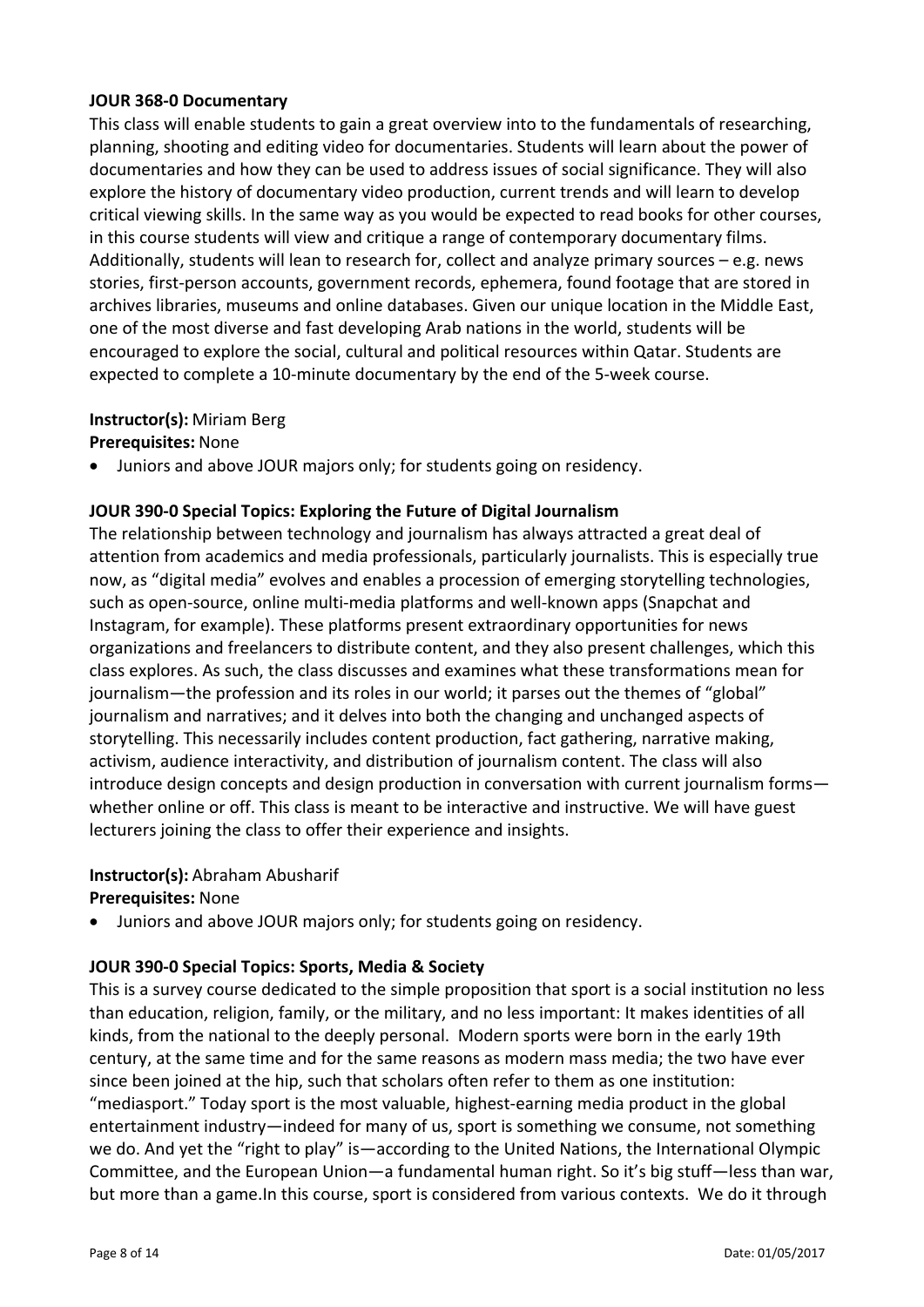### **JOUR 368‐0 Documentary**

This class will enable students to gain a great overview into to the fundamentals of researching, planning, shooting and editing video for documentaries. Students will learn about the power of documentaries and how they can be used to address issues of social significance. They will also explore the history of documentary video production, current trends and will learn to develop critical viewing skills. In the same way as you would be expected to read books for other courses, in this course students will view and critique a range of contemporary documentary films. Additionally, students will lean to research for, collect and analyze primary sources – e.g. news stories, first‐person accounts, government records, ephemera, found footage that are stored in archives libraries, museums and online databases. Given our unique location in the Middle East, one of the most diverse and fast developing Arab nations in the world, students will be encouraged to explore the social, cultural and political resources within Qatar. Students are expected to complete a 10‐minute documentary by the end of the 5‐week course.

### **Instructor(s):** Miriam Berg

**Prerequisites:** None

Juniors and above JOUR majors only; for students going on residency.

### **JOUR 390‐0 Special Topics: Exploring the Future of Digital Journalism**

The relationship between technology and journalism has always attracted a great deal of attention from academics and media professionals, particularly journalists. This is especially true now, as "digital media" evolves and enables a procession of emerging storytelling technologies, such as open‐source, online multi‐media platforms and well‐known apps (Snapchat and Instagram, for example). These platforms present extraordinary opportunities for news organizations and freelancers to distribute content, and they also present challenges, which this class explores. As such, the class discusses and examines what these transformations mean for journalism—the profession and its roles in our world; it parses out the themes of "global" journalism and narratives; and it delves into both the changing and unchanged aspects of storytelling. This necessarily includes content production, fact gathering, narrative making, activism, audience interactivity, and distribution of journalism content. The class will also introduce design concepts and design production in conversation with current journalism forms whether online or off. This class is meant to be interactive and instructive. We will have guest lecturers joining the class to offer their experience and insights.

#### **Instructor(s):** Abraham Abusharif

#### **Prerequisites:** None

Juniors and above JOUR majors only; for students going on residency.

#### **JOUR 390‐0 Special Topics: Sports, Media & Society**

This is a survey course dedicated to the simple proposition that sport is a social institution no less than education, religion, family, or the military, and no less important: It makes identities of all kinds, from the national to the deeply personal. Modern sports were born in the early 19th century, at the same time and for the same reasons as modern mass media; the two have ever since been joined at the hip, such that scholars often refer to them as one institution: "mediasport." Today sport is the most valuable, highest‐earning media product in the global entertainment industry—indeed for many of us, sport is something we consume, not something we do. And yet the "right to play" is—according to the United Nations, the International Olympic Committee, and the European Union—a fundamental human right. So it's big stuff—less than war, but more than a game.In this course, sport is considered from various contexts. We do it through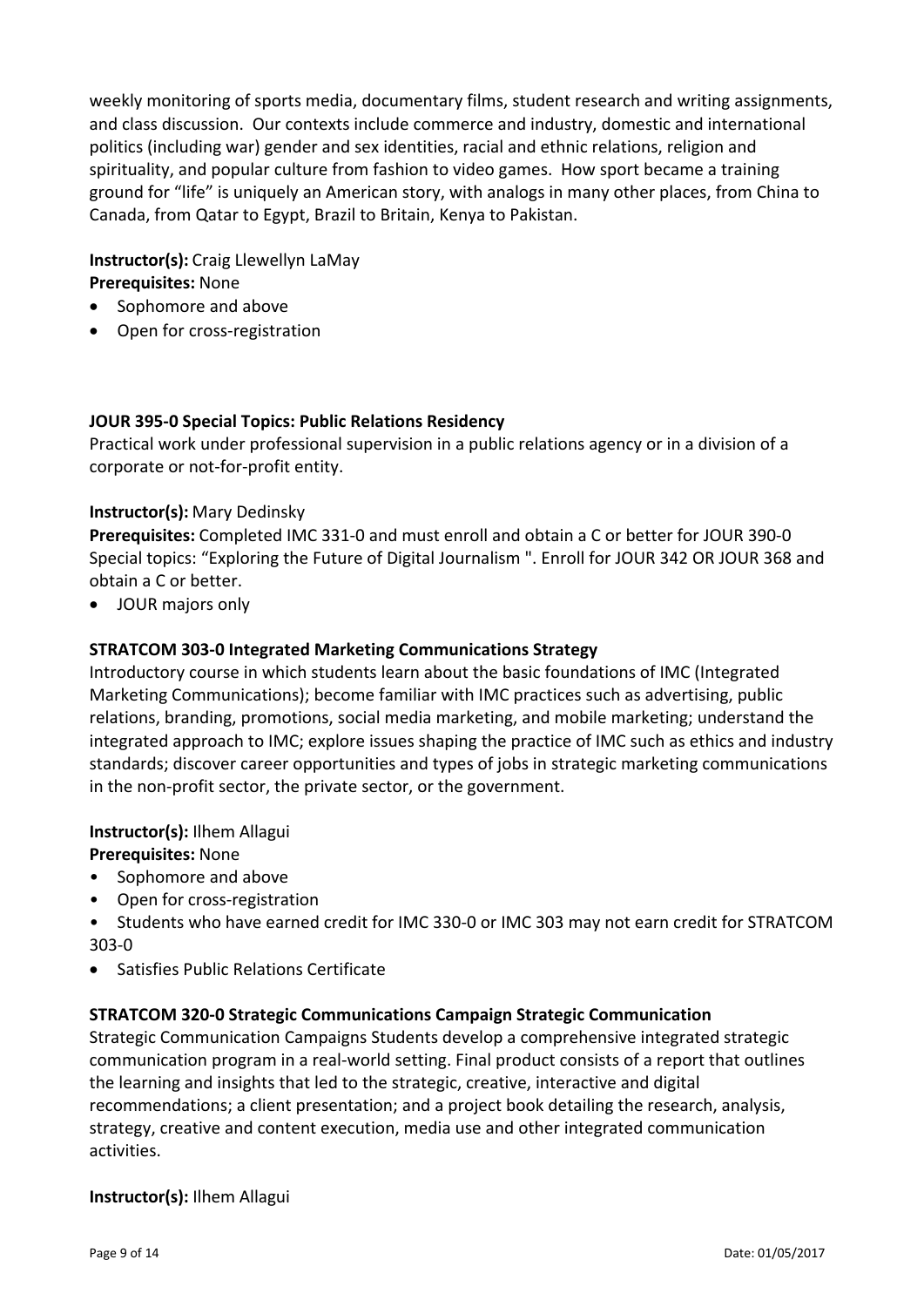weekly monitoring of sports media, documentary films, student research and writing assignments, and class discussion. Our contexts include commerce and industry, domestic and international politics (including war) gender and sex identities, racial and ethnic relations, religion and spirituality, and popular culture from fashion to video games. How sport became a training ground for "life" is uniquely an American story, with analogs in many other places, from China to Canada, from Qatar to Egypt, Brazil to Britain, Kenya to Pakistan.

**Instructor(s):** Craig Llewellyn LaMay **Prerequisites:** None

- Sophomore and above
- Open for cross-registration

#### **JOUR 395‐0 Special Topics: Public Relations Residency**

Practical work under professional supervision in a public relations agency or in a division of a corporate or not‐for‐profit entity.

#### **Instructor(s):** Mary Dedinsky

**Prerequisites:** Completed IMC 331‐0 and must enroll and obtain a C or better for JOUR 390‐0 Special topics: "Exploring the Future of Digital Journalism ". Enroll for JOUR 342 OR JOUR 368 and obtain a C or better.

JOUR majors only

#### **STRATCOM 303‐0 Integrated Marketing Communications Strategy**

Introductory course in which students learn about the basic foundations of IMC (Integrated Marketing Communications); become familiar with IMC practices such as advertising, public relations, branding, promotions, social media marketing, and mobile marketing; understand the integrated approach to IMC; explore issues shaping the practice of IMC such as ethics and industry standards; discover career opportunities and types of jobs in strategic marketing communications in the non‐profit sector, the private sector, or the government.

**Instructor(s):** Ilhem Allagui

**Prerequisites:** None

- Sophomore and above
- Open for cross-registration

• Students who have earned credit for IMC 330‐0 or IMC 303 may not earn credit for STRATCOM 303‐0

Satisfies Public Relations Certificate

#### **STRATCOM 320‐0 Strategic Communications Campaign Strategic Communication**

Strategic Communication Campaigns Students develop a comprehensive integrated strategic communication program in a real‐world setting. Final product consists of a report that outlines the learning and insights that led to the strategic, creative, interactive and digital recommendations; a client presentation; and a project book detailing the research, analysis, strategy, creative and content execution, media use and other integrated communication activities.

#### **Instructor(s):** Ilhem Allagui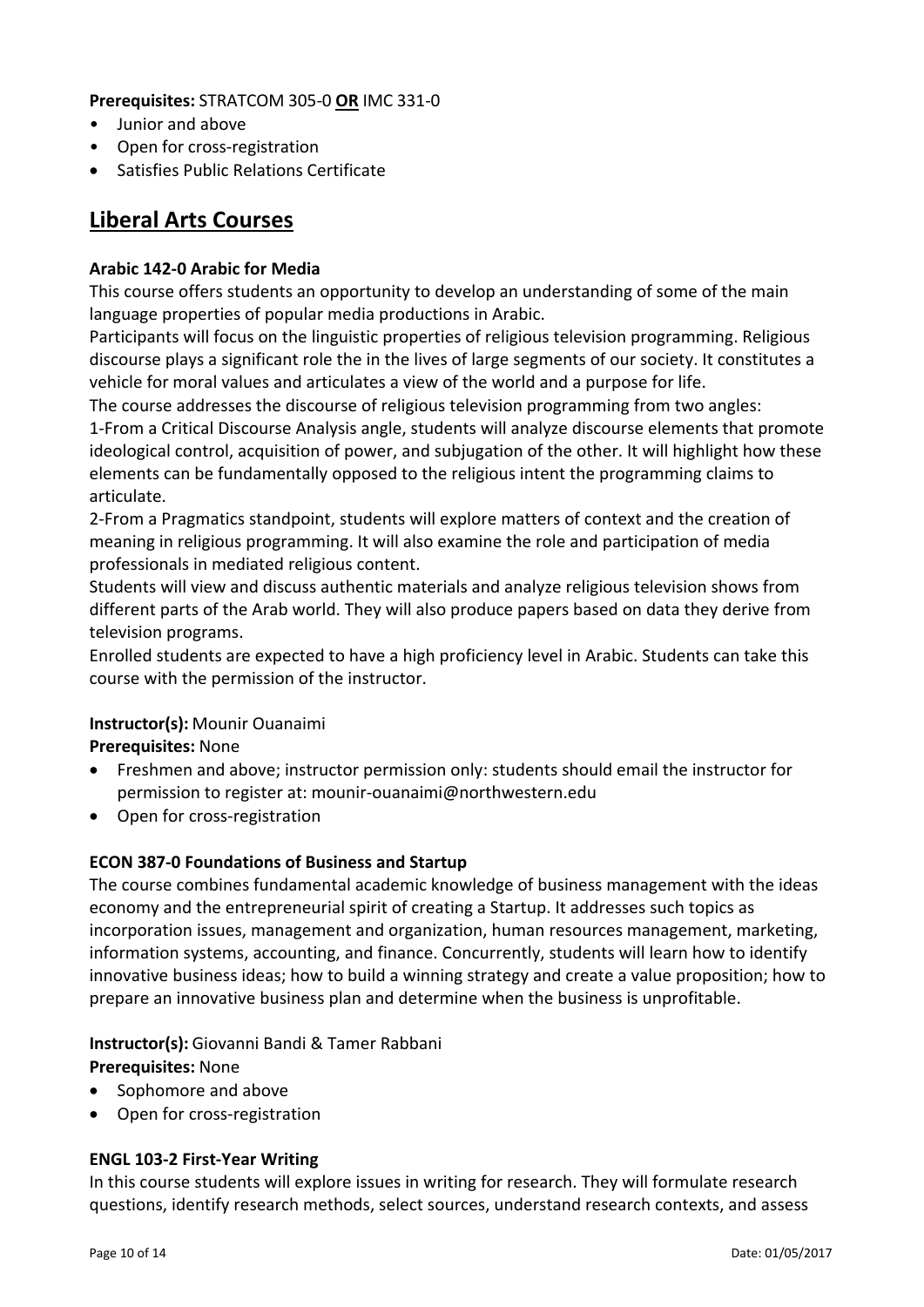### **Prerequisites:** STRATCOM 305‐0 **OR** IMC 331‐0

- Junior and above
- Open for cross‐registration
- Satisfies Public Relations Certificate

# **Liberal Arts Courses**

### **Arabic 142‐0 Arabic for Media**

This course offers students an opportunity to develop an understanding of some of the main language properties of popular media productions in Arabic.

Participants will focus on the linguistic properties of religious television programming. Religious discourse plays a significant role the in the lives of large segments of our society. It constitutes a vehicle for moral values and articulates a view of the world and a purpose for life.

The course addresses the discourse of religious television programming from two angles: 1‐From a Critical Discourse Analysis angle, students will analyze discourse elements that promote ideological control, acquisition of power, and subjugation of the other. It will highlight how these elements can be fundamentally opposed to the religious intent the programming claims to articulate.

2‐From a Pragmatics standpoint, students will explore matters of context and the creation of meaning in religious programming. It will also examine the role and participation of media professionals in mediated religious content.

Students will view and discuss authentic materials and analyze religious television shows from different parts of the Arab world. They will also produce papers based on data they derive from television programs.

Enrolled students are expected to have a high proficiency level in Arabic. Students can take this course with the permission of the instructor.

# **Instructor(s):** Mounir Ouanaimi

#### **Prerequisites:** None

- Freshmen and above; instructor permission only: students should email the instructor for permission to register at: mounir‐ouanaimi@northwestern.edu
- Open for cross-registration

#### **ECON 387‐0 Foundations of Business and Startup**

The course combines fundamental academic knowledge of business management with the ideas economy and the entrepreneurial spirit of creating a Startup. It addresses such topics as incorporation issues, management and organization, human resources management, marketing, information systems, accounting, and finance. Concurrently, students will learn how to identify innovative business ideas; how to build a winning strategy and create a value proposition; how to prepare an innovative business plan and determine when the business is unprofitable.

**Instructor(s):** Giovanni Bandi & Tamer Rabbani

**Prerequisites:** None

- Sophomore and above
- Open for cross-registration

#### **ENGL 103‐2 First‐Year Writing**

In this course students will explore issues in writing for research. They will formulate research questions, identify research methods, select sources, understand research contexts, and assess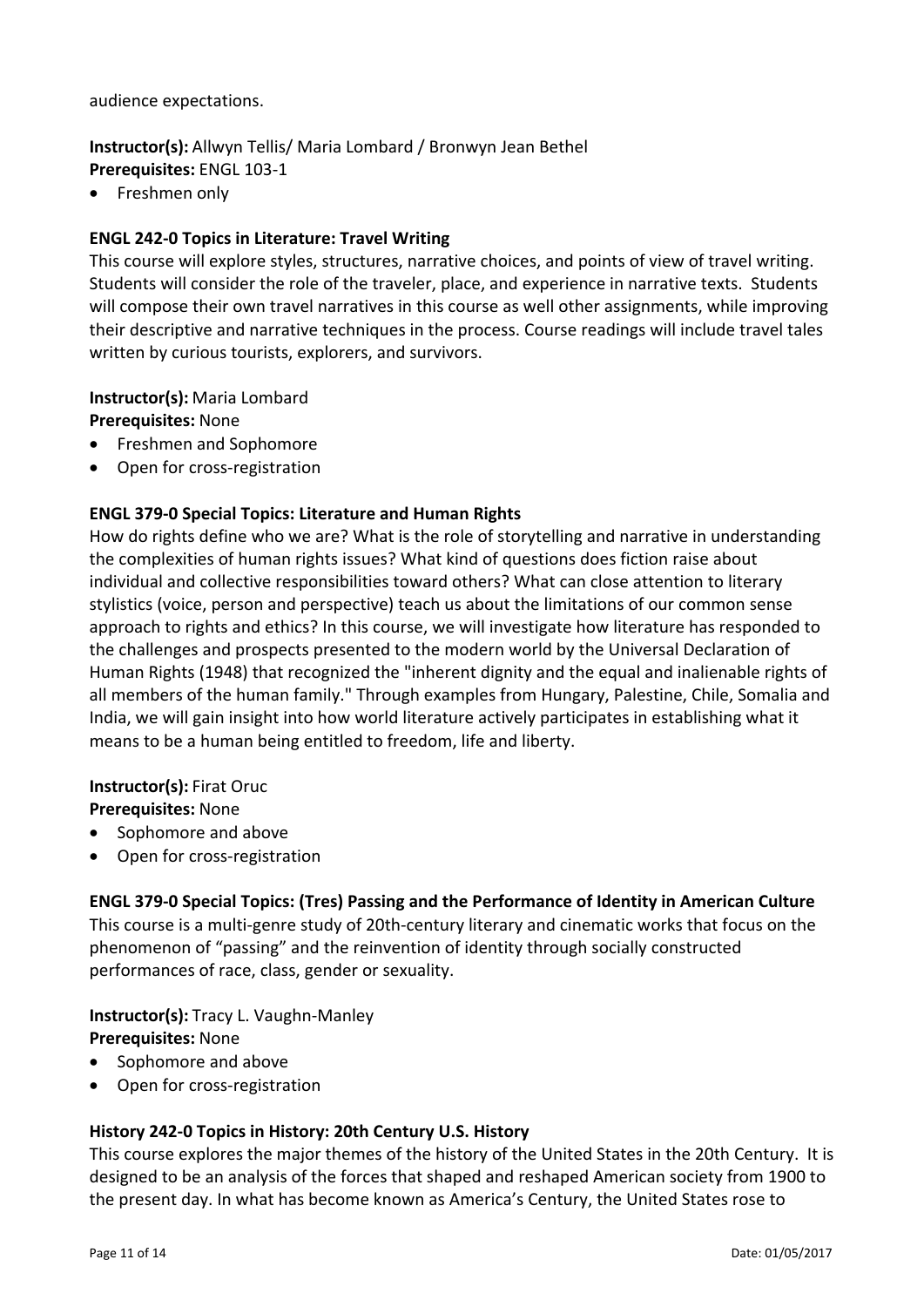audience expectations.

#### **Instructor(s):** Allwyn Tellis/ Maria Lombard / Bronwyn Jean Bethel **Prerequisites:** ENGL 103‐1

• Freshmen only

### **ENGL 242‐0 Topics in Literature: Travel Writing**

This course will explore styles, structures, narrative choices, and points of view of travel writing. Students will consider the role of the traveler, place, and experience in narrative texts. Students will compose their own travel narratives in this course as well other assignments, while improving their descriptive and narrative techniques in the process. Course readings will include travel tales written by curious tourists, explorers, and survivors.

**Instructor(s):** Maria Lombard **Prerequisites:** None

- Freshmen and Sophomore
- Open for cross-registration

### **ENGL 379‐0 Special Topics: Literature and Human Rights**

How do rights define who we are? What is the role of storytelling and narrative in understanding the complexities of human rights issues? What kind of questions does fiction raise about individual and collective responsibilities toward others? What can close attention to literary stylistics (voice, person and perspective) teach us about the limitations of our common sense approach to rights and ethics? In this course, we will investigate how literature has responded to the challenges and prospects presented to the modern world by the Universal Declaration of Human Rights (1948) that recognized the "inherent dignity and the equal and inalienable rights of all members of the human family." Through examples from Hungary, Palestine, Chile, Somalia and India, we will gain insight into how world literature actively participates in establishing what it means to be a human being entitled to freedom, life and liberty.

# **Instructor(s):** Firat Oruc

**Prerequisites:** None

- Sophomore and above
- Open for cross-registration

#### **ENGL 379‐0 Special Topics: (Tres) Passing and the Performance of Identity in American Culture**

This course is a multi‐genre study of 20th‐century literary and cinematic works that focus on the phenomenon of "passing" and the reinvention of identity through socially constructed performances of race, class, gender or sexuality.

**Instructor(s):** Tracy L. Vaughn‐Manley **Prerequisites:** None

- Sophomore and above
- Open for cross-registration

# **History 242‐0 Topics in History: 20th Century U.S. History**

This course explores the major themes of the history of the United States in the 20th Century. It is designed to be an analysis of the forces that shaped and reshaped American society from 1900 to the present day. In what has become known as America's Century, the United States rose to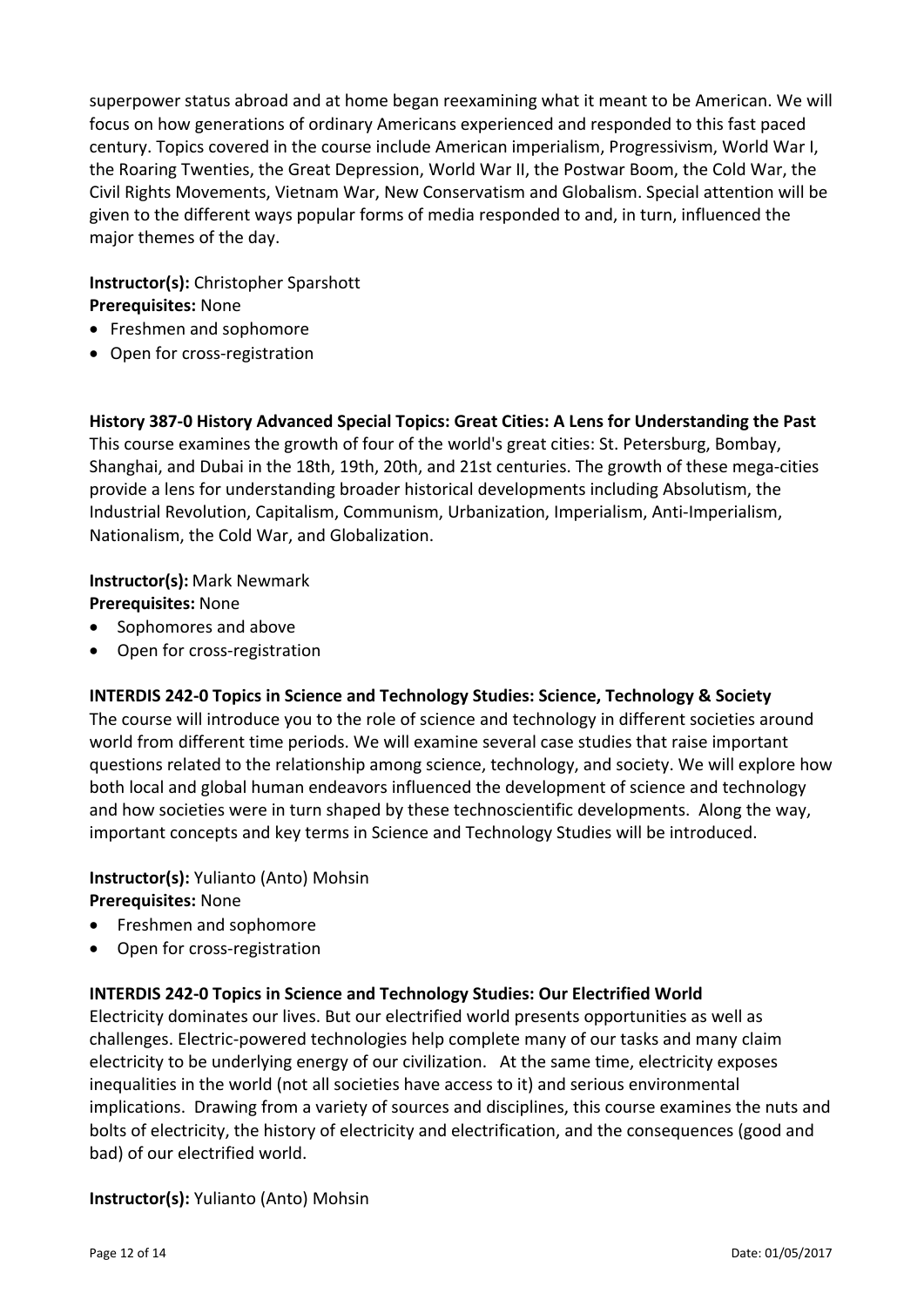superpower status abroad and at home began reexamining what it meant to be American. We will focus on how generations of ordinary Americans experienced and responded to this fast paced century. Topics covered in the course include American imperialism, Progressivism, World War I, the Roaring Twenties, the Great Depression, World War II, the Postwar Boom, the Cold War, the Civil Rights Movements, Vietnam War, New Conservatism and Globalism. Special attention will be given to the different ways popular forms of media responded to and, in turn, influenced the major themes of the day.

#### **Instructor(s):** Christopher Sparshott **Prerequisites:** None

- Freshmen and sophomore
- Open for cross-registration

#### **History 387‐0 History Advanced Special Topics: Great Cities: A Lens for Understanding the Past**

This course examines the growth of four of the world's great cities: St. Petersburg, Bombay, Shanghai, and Dubai in the 18th, 19th, 20th, and 21st centuries. The growth of these mega‐cities provide a lens for understanding broader historical developments including Absolutism, the Industrial Revolution, Capitalism, Communism, Urbanization, Imperialism, Anti‐Imperialism, Nationalism, the Cold War, and Globalization.

#### **Instructor(s):** Mark Newmark

**Prerequisites:** None

- Sophomores and above
- Open for cross-registration

#### **INTERDIS 242‐0 Topics in Science and Technology Studies: Science, Technology & Society**

The course will introduce you to the role of science and technology in different societies around world from different time periods. We will examine several case studies that raise important questions related to the relationship among science, technology, and society. We will explore how both local and global human endeavors influenced the development of science and technology and how societies were in turn shaped by these technoscientific developments. Along the way, important concepts and key terms in Science and Technology Studies will be introduced.

# **Instructor(s):** Yulianto (Anto) Mohsin

**Prerequisites:** None

- Freshmen and sophomore
- Open for cross-registration

#### **INTERDIS 242‐0 Topics in Science and Technology Studies: Our Electrified World**

Electricity dominates our lives. But our electrified world presents opportunities as well as challenges. Electric‐powered technologies help complete many of our tasks and many claim electricity to be underlying energy of our civilization. At the same time, electricity exposes inequalities in the world (not all societies have access to it) and serious environmental implications. Drawing from a variety of sources and disciplines, this course examines the nuts and bolts of electricity, the history of electricity and electrification, and the consequences (good and bad) of our electrified world.

#### **Instructor(s):** Yulianto (Anto) Mohsin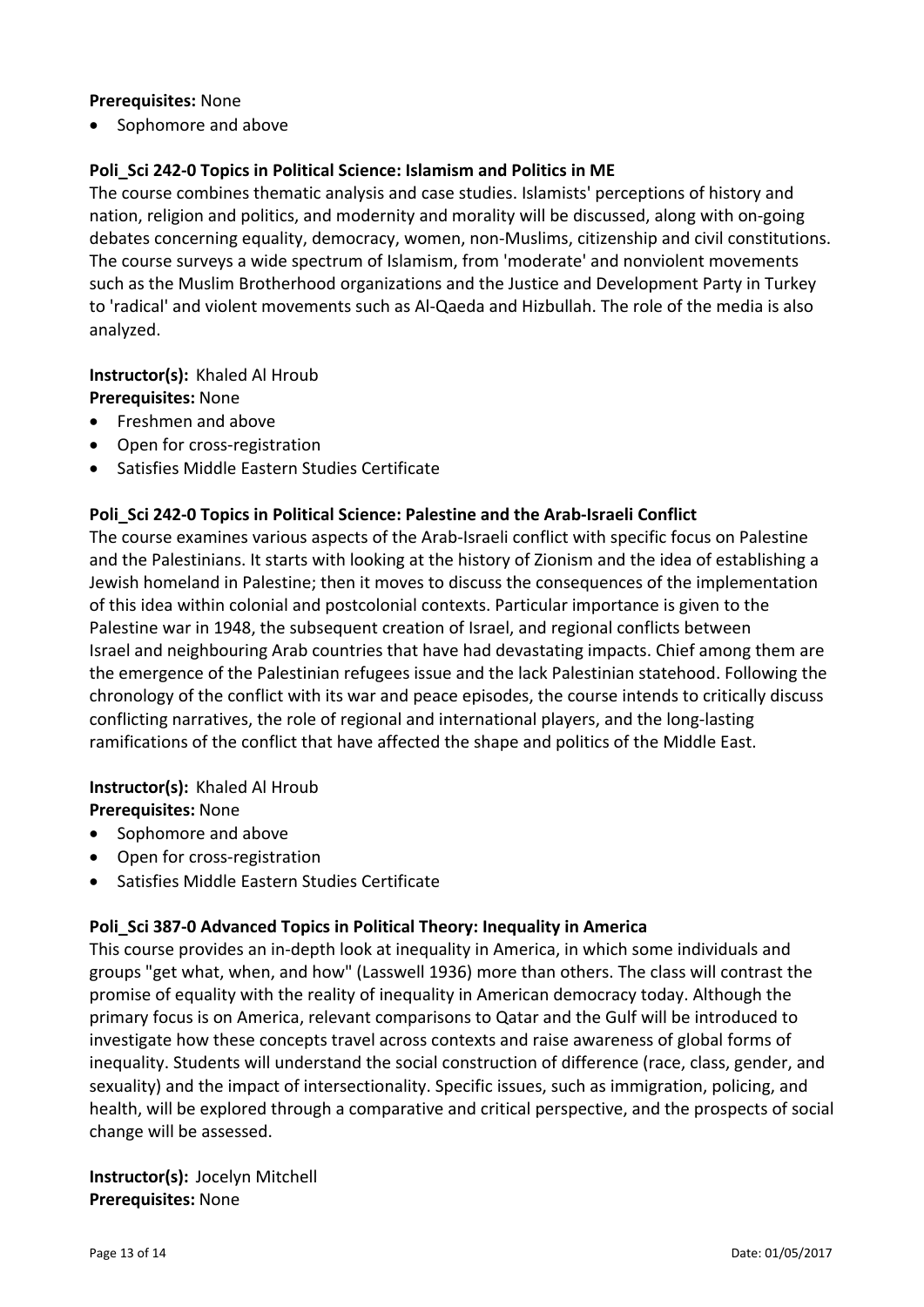#### **Prerequisites:** None

• Sophomore and above

### **Poli\_Sci 242‐0 Topics in Political Science: Islamism and Politics in ME**

The course combines thematic analysis and case studies. Islamists' perceptions of history and nation, religion and politics, and modernity and morality will be discussed, along with on‐going debates concerning equality, democracy, women, non‐Muslims, citizenship and civil constitutions. The course surveys a wide spectrum of Islamism, from 'moderate' and nonviolent movements such as the Muslim Brotherhood organizations and the Justice and Development Party in Turkey to 'radical' and violent movements such as Al‐Qaeda and Hizbullah. The role of the media is also analyzed.

# **Instructor(s): Khaled Al Hroub**

**Prerequisites:** None

- Freshmen and above
- Open for cross-registration
- Satisfies Middle Eastern Studies Certificate

### **Poli\_Sci 242‐0 Topics in Political Science: Palestine and the Arab‐Israeli Conflict**

The course examines various aspects of the Arab-Israeli conflict with specific focus on Palestine and the Palestinians. It starts with looking at the history of Zionism and the idea of establishing a Jewish homeland in Palestine; then it moves to discuss the consequences of the implementation of this idea within colonial and postcolonial contexts. Particular importance is given to the Palestine war in 1948, the subsequent creation of Israel, and regional conflicts between Israel and neighbouring Arab countries that have had devastating impacts. Chief among them are the emergence of the Palestinian refugees issue and the lack Palestinian statehood. Following the chronology of the conflict with its war and peace episodes, the course intends to critically discuss conflicting narratives, the role of regional and international players, and the long‐lasting ramifications of the conflict that have affected the shape and politics of the Middle East.

# **Instructor(s): Khaled Al Hroub Prerequisites:** None

- Sophomore and above
- Open for cross-registration
- Satisfies Middle Eastern Studies Certificate

#### **Poli\_Sci 387‐0 Advanced Topics in Political Theory: Inequality in America**

This course provides an in‐depth look at inequality in America, in which some individuals and groups "get what, when, and how" (Lasswell 1936) more than others. The class will contrast the promise of equality with the reality of inequality in American democracy today. Although the primary focus is on America, relevant comparisons to Qatar and the Gulf will be introduced to investigate how these concepts travel across contexts and raise awareness of global forms of inequality. Students will understand the social construction of difference (race, class, gender, and sexuality) and the impact of intersectionality. Specific issues, such as immigration, policing, and health, will be explored through a comparative and critical perspective, and the prospects of social change will be assessed.

**Instructor(s): Jocelyn Mitchell Prerequisites:** None